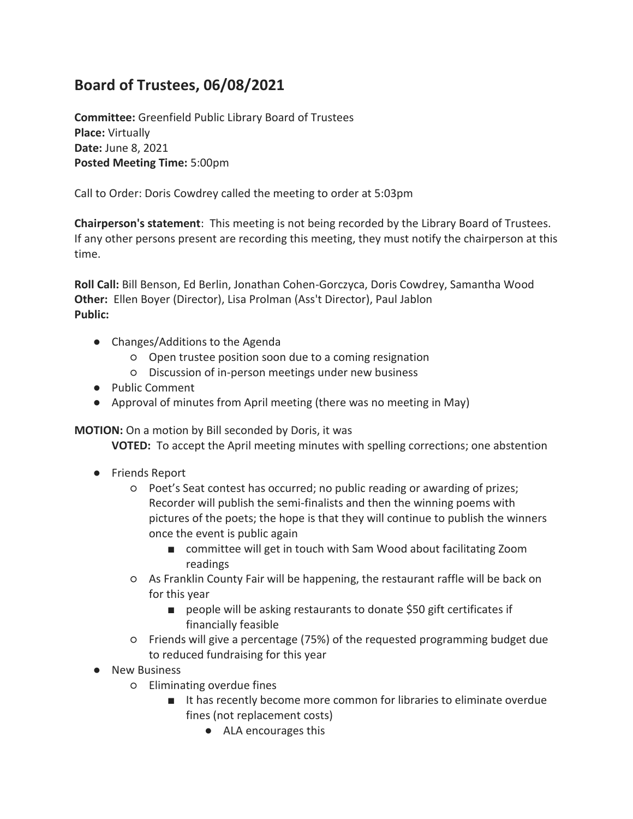## **Board of Trustees, 06/08/2021**

**Committee:** Greenfield Public Library Board of Trustees **Place:** Virtually **Date:** June 8, 2021 **Posted Meeting Time:** 5:00pm

Call to Order: Doris Cowdrey called the meeting to order at 5:03pm

**Chairperson's statement**: This meeting is not being recorded by the Library Board of Trustees. If any other persons present are recording this meeting, they must notify the chairperson at this time.

**Roll Call:** Bill Benson, Ed Berlin, Jonathan Cohen-Gorczyca, Doris Cowdrey, Samantha Wood **Other:** Ellen Boyer (Director), Lisa Prolman (Ass't Director), Paul Jablon **Public:** 

- Changes/Additions to the Agenda
	- Open trustee position soon due to a coming resignation
	- Discussion of in-person meetings under new business
- Public Comment
- Approval of minutes from April meeting (there was no meeting in May)

**MOTION:** On a motion by Bill seconded by Doris, it was

**VOTED:** To accept the April meeting minutes with spelling corrections; one abstention

- Friends Report
	- Poet's Seat contest has occurred; no public reading or awarding of prizes; Recorder will publish the semi-finalists and then the winning poems with pictures of the poets; the hope is that they will continue to publish the winners once the event is public again
		- committee will get in touch with Sam Wood about facilitating Zoom readings
	- As Franklin County Fair will be happening, the restaurant raffle will be back on for this year
		- people will be asking restaurants to donate \$50 gift certificates if financially feasible
	- Friends will give a percentage (75%) of the requested programming budget due to reduced fundraising for this year
- New Business
	- Eliminating overdue fines
		- It has recently become more common for libraries to eliminate overdue fines (not replacement costs)
			- ALA encourages this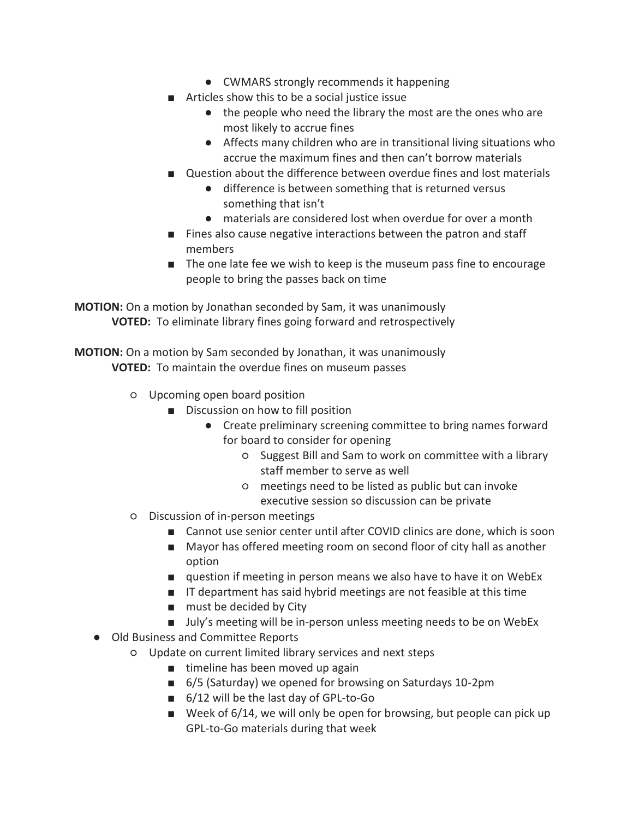- CWMARS strongly recommends it happening
- Articles show this to be a social justice issue
	- the people who need the library the most are the ones who are most likely to accrue fines
	- Affects many children who are in transitional living situations who accrue the maximum fines and then can't borrow materials
- Ouestion about the difference between overdue fines and lost materials
	- difference is between something that is returned versus something that isn't
	- materials are considered lost when overdue for over a month
- Fines also cause negative interactions between the patron and staff members
- The one late fee we wish to keep is the museum pass fine to encourage people to bring the passes back on time

**MOTION:** On a motion by Jonathan seconded by Sam, it was unanimously **VOTED:** To eliminate library fines going forward and retrospectively

**MOTION:** On a motion by Sam seconded by Jonathan, it was unanimously **VOTED:** To maintain the overdue fines on museum passes

- Upcoming open board position
	- Discussion on how to fill position
		- Create preliminary screening committee to bring names forward for board to consider for opening
			- Suggest Bill and Sam to work on committee with a library staff member to serve as well
			- meetings need to be listed as public but can invoke executive session so discussion can be private
- Discussion of in-person meetings
	- Cannot use senior center until after COVID clinics are done, which is soon
	- Mayor has offered meeting room on second floor of city hall as another option
	- question if meeting in person means we also have to have it on WebEx
	- IT department has said hybrid meetings are not feasible at this time
	- must be decided by City
	- July's meeting will be in-person unless meeting needs to be on WebEx
- Old Business and Committee Reports
	- Update on current limited library services and next steps
		- timeline has been moved up again
		- 6/5 (Saturday) we opened for browsing on Saturdays 10-2pm
		- 6/12 will be the last day of GPL-to-Go
		- Week of 6/14, we will only be open for browsing, but people can pick up GPL-to-Go materials during that week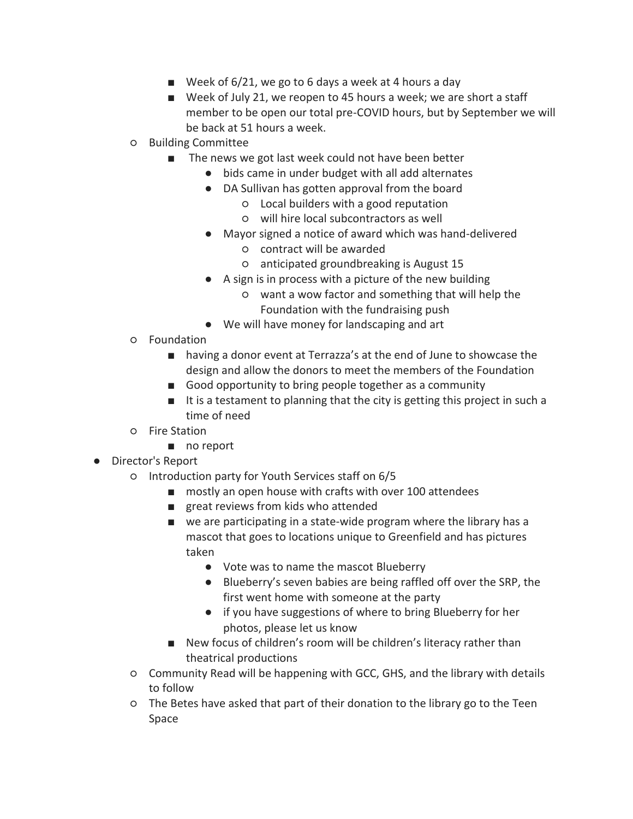- **■** Week of  $6/21$ , we go to 6 days a week at 4 hours a day
- Week of July 21, we reopen to 45 hours a week; we are short a staff member to be open our total pre-COVID hours, but by September we will be back at 51 hours a week.
- Building Committee
	- The news we got last week could not have been better
		- bids came in under budget with all add alternates
		- DA Sullivan has gotten approval from the board
			- Local builders with a good reputation
			- will hire local subcontractors as well
		- Mayor signed a notice of award which was hand-delivered
			- contract will be awarded
			- anticipated groundbreaking is August 15
		- A sign is in process with a picture of the new building
			- want a wow factor and something that will help the Foundation with the fundraising push
		- We will have money for landscaping and art
- Foundation
	- having a donor event at Terrazza's at the end of June to showcase the design and allow the donors to meet the members of the Foundation
	- Good opportunity to bring people together as a community
	- It is a testament to planning that the city is getting this project in such a time of need
- Fire Station
	- no report
- Director's Report
	- Introduction party for Youth Services staff on 6/5
		- mostly an open house with crafts with over 100 attendees
		- great reviews from kids who attended
		- we are participating in a state-wide program where the library has a mascot that goes to locations unique to Greenfield and has pictures taken
			- Vote was to name the mascot Blueberry
			- Blueberry's seven babies are being raffled off over the SRP, the first went home with someone at the party
			- if you have suggestions of where to bring Blueberry for her photos, please let us know
		- New focus of children's room will be children's literacy rather than theatrical productions
	- Community Read will be happening with GCC, GHS, and the library with details to follow
	- The Betes have asked that part of their donation to the library go to the Teen Space